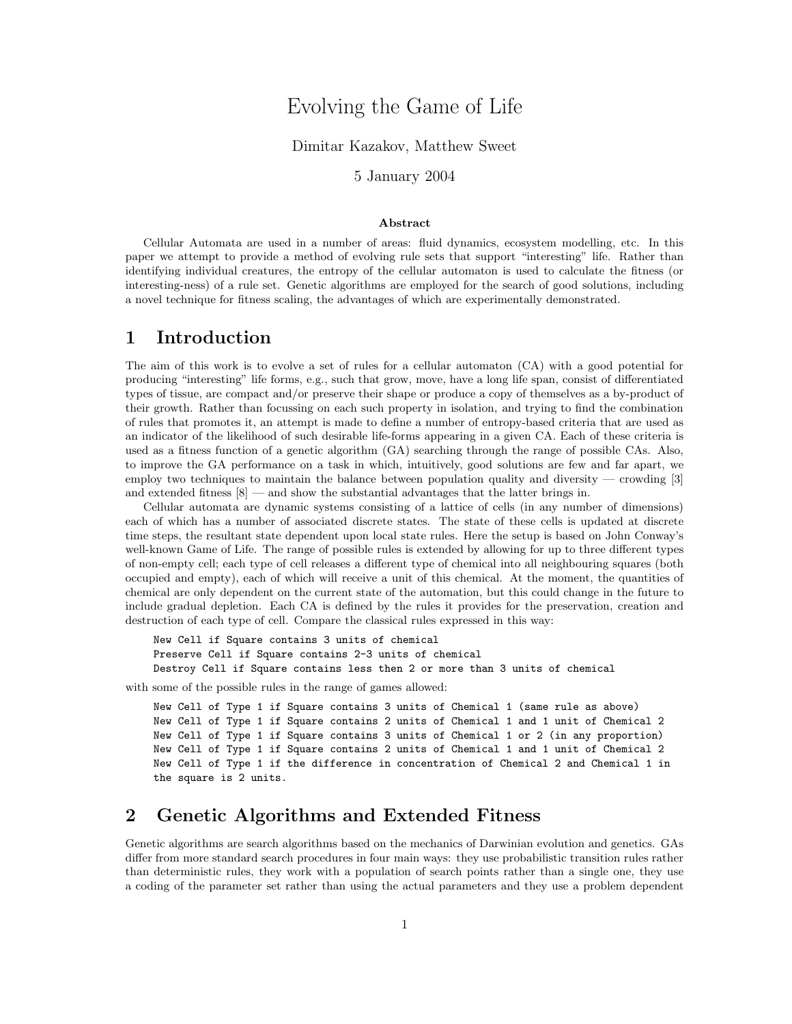# Evolving the Game of Life

#### Dimitar Kazakov, Matthew Sweet

#### 5 January 2004

#### Abstract

Cellular Automata are used in a number of areas: fluid dynamics, ecosystem modelling, etc. In this paper we attempt to provide a method of evolving rule sets that support "interesting" life. Rather than identifying individual creatures, the entropy of the cellular automaton is used to calculate the fitness (or interesting-ness) of a rule set. Genetic algorithms are employed for the search of good solutions, including a novel technique for fitness scaling, the advantages of which are experimentally demonstrated.

## 1 Introduction

The aim of this work is to evolve a set of rules for a cellular automaton (CA) with a good potential for producing "interesting" life forms, e.g., such that grow, move, have a long life span, consist of differentiated types of tissue, are compact and/or preserve their shape or produce a copy of themselves as a by-product of their growth. Rather than focussing on each such property in isolation, and trying to find the combination of rules that promotes it, an attempt is made to define a number of entropy-based criteria that are used as an indicator of the likelihood of such desirable life-forms appearing in a given CA. Each of these criteria is used as a fitness function of a genetic algorithm (GA) searching through the range of possible CAs. Also, to improve the GA performance on a task in which, intuitively, good solutions are few and far apart, we employ two techniques to maintain the balance between population quality and diversity — crowding [3] and extended fitness  $|8|$  — and show the substantial advantages that the latter brings in.

Cellular automata are dynamic systems consisting of a lattice of cells (in any number of dimensions) each of which has a number of associated discrete states. The state of these cells is updated at discrete time steps, the resultant state dependent upon local state rules. Here the setup is based on John Conway's well-known Game of Life. The range of possible rules is extended by allowing for up to three different types of non-empty cell; each type of cell releases a different type of chemical into all neighbouring squares (both occupied and empty), each of which will receive a unit of this chemical. At the moment, the quantities of chemical are only dependent on the current state of the automation, but this could change in the future to include gradual depletion. Each CA is defined by the rules it provides for the preservation, creation and destruction of each type of cell. Compare the classical rules expressed in this way:

New Cell if Square contains 3 units of chemical Preserve Cell if Square contains 2-3 units of chemical Destroy Cell if Square contains less then 2 or more than 3 units of chemical

with some of the possible rules in the range of games allowed:

```
New Cell of Type 1 if Square contains 3 units of Chemical 1 (same rule as above)
New Cell of Type 1 if Square contains 2 units of Chemical 1 and 1 unit of Chemical 2
New Cell of Type 1 if Square contains 3 units of Chemical 1 or 2 (in any proportion)
New Cell of Type 1 if Square contains 2 units of Chemical 1 and 1 unit of Chemical 2
New Cell of Type 1 if the difference in concentration of Chemical 2 and Chemical 1 in
the square is 2 units.
```
#### 2 Genetic Algorithms and Extended Fitness

Genetic algorithms are search algorithms based on the mechanics of Darwinian evolution and genetics. GAs differ from more standard search procedures in four main ways: they use probabilistic transition rules rather than deterministic rules, they work with a population of search points rather than a single one, they use a coding of the parameter set rather than using the actual parameters and they use a problem dependent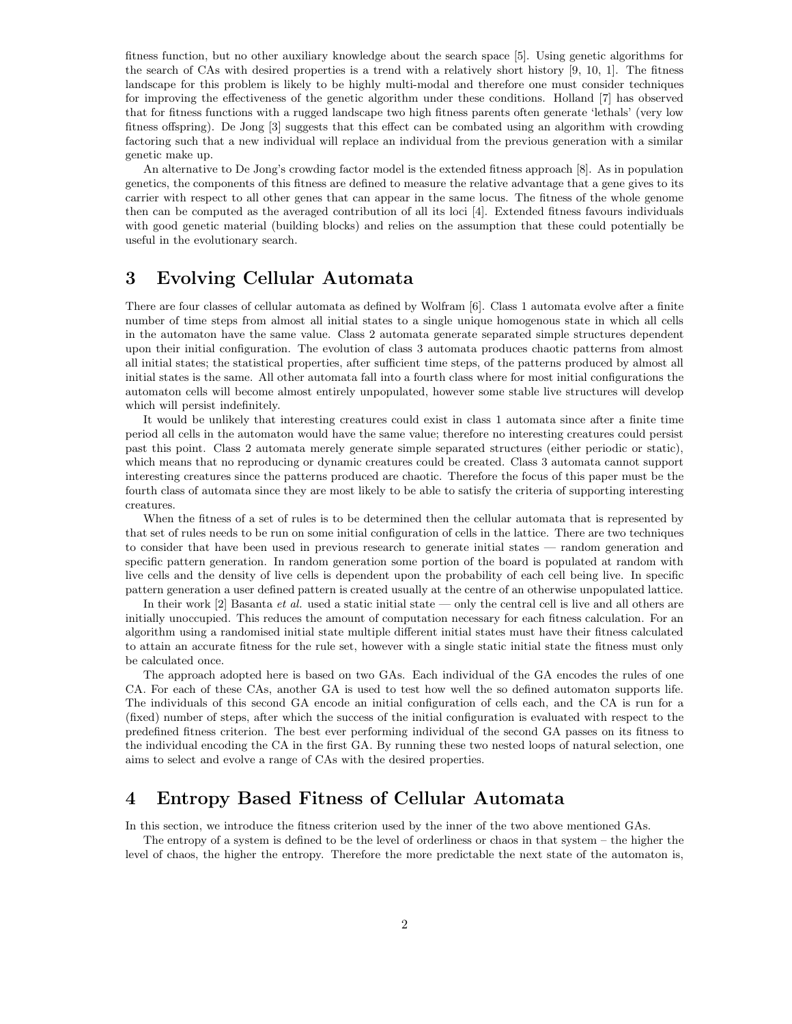fitness function, but no other auxiliary knowledge about the search space [5]. Using genetic algorithms for the search of CAs with desired properties is a trend with a relatively short history [9, 10, 1]. The fitness landscape for this problem is likely to be highly multi-modal and therefore one must consider techniques for improving the effectiveness of the genetic algorithm under these conditions. Holland [7] has observed that for fitness functions with a rugged landscape two high fitness parents often generate 'lethals' (very low fitness offspring). De Jong [3] suggests that this effect can be combated using an algorithm with crowding factoring such that a new individual will replace an individual from the previous generation with a similar genetic make up.

An alternative to De Jong's crowding factor model is the extended fitness approach [8]. As in population genetics, the components of this fitness are defined to measure the relative advantage that a gene gives to its carrier with respect to all other genes that can appear in the same locus. The fitness of the whole genome then can be computed as the averaged contribution of all its loci [4]. Extended fitness favours individuals with good genetic material (building blocks) and relies on the assumption that these could potentially be useful in the evolutionary search.

## 3 Evolving Cellular Automata

There are four classes of cellular automata as defined by Wolfram [6]. Class 1 automata evolve after a finite number of time steps from almost all initial states to a single unique homogenous state in which all cells in the automaton have the same value. Class 2 automata generate separated simple structures dependent upon their initial configuration. The evolution of class 3 automata produces chaotic patterns from almost all initial states; the statistical properties, after sufficient time steps, of the patterns produced by almost all initial states is the same. All other automata fall into a fourth class where for most initial configurations the automaton cells will become almost entirely unpopulated, however some stable live structures will develop which will persist indefinitely.

It would be unlikely that interesting creatures could exist in class 1 automata since after a finite time period all cells in the automaton would have the same value; therefore no interesting creatures could persist past this point. Class 2 automata merely generate simple separated structures (either periodic or static), which means that no reproducing or dynamic creatures could be created. Class 3 automata cannot support interesting creatures since the patterns produced are chaotic. Therefore the focus of this paper must be the fourth class of automata since they are most likely to be able to satisfy the criteria of supporting interesting creatures.

When the fitness of a set of rules is to be determined then the cellular automata that is represented by that set of rules needs to be run on some initial configuration of cells in the lattice. There are two techniques to consider that have been used in previous research to generate initial states — random generation and specific pattern generation. In random generation some portion of the board is populated at random with live cells and the density of live cells is dependent upon the probability of each cell being live. In specific pattern generation a user defined pattern is created usually at the centre of an otherwise unpopulated lattice.

In their work  $[2]$  Basanta *et al.* used a static initial state — only the central cell is live and all others are initially unoccupied. This reduces the amount of computation necessary for each fitness calculation. For an algorithm using a randomised initial state multiple different initial states must have their fitness calculated to attain an accurate fitness for the rule set, however with a single static initial state the fitness must only be calculated once.

The approach adopted here is based on two GAs. Each individual of the GA encodes the rules of one CA. For each of these CAs, another GA is used to test how well the so defined automaton supports life. The individuals of this second GA encode an initial configuration of cells each, and the CA is run for a (fixed) number of steps, after which the success of the initial configuration is evaluated with respect to the predefined fitness criterion. The best ever performing individual of the second GA passes on its fitness to the individual encoding the CA in the first GA. By running these two nested loops of natural selection, one aims to select and evolve a range of CAs with the desired properties.

# 4 Entropy Based Fitness of Cellular Automata

In this section, we introduce the fitness criterion used by the inner of the two above mentioned GAs.

The entropy of a system is defined to be the level of orderliness or chaos in that system – the higher the level of chaos, the higher the entropy. Therefore the more predictable the next state of the automaton is,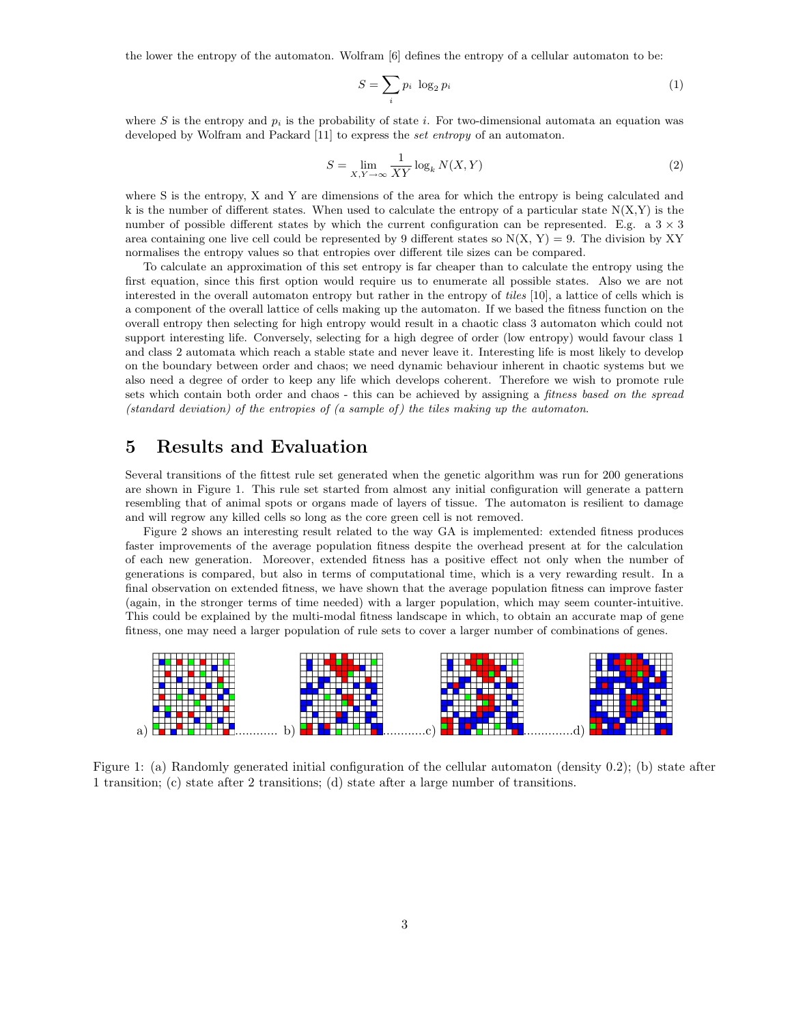the lower the entropy of the automaton. Wolfram [6] defines the entropy of a cellular automaton to be:

$$
S = \sum_{i} p_i \log_2 p_i \tag{1}
$$

where S is the entropy and  $p_i$  is the probability of state i. For two-dimensional automata an equation was developed by Wolfram and Packard [11] to express the set entropy of an automaton.

$$
S = \lim_{X,Y \to \infty} \frac{1}{XY} \log_k N(X,Y)
$$
\n(2)

where S is the entropy, X and Y are dimensions of the area for which the entropy is being calculated and k is the number of different states. When used to calculate the entropy of a particular state  $N(X,Y)$  is the number of possible different states by which the current configuration can be represented. E.g. a  $3 \times 3$ area containing one live cell could be represented by 9 different states so  $N(X, Y) = 9$ . The division by XY normalises the entropy values so that entropies over different tile sizes can be compared.

To calculate an approximation of this set entropy is far cheaper than to calculate the entropy using the first equation, since this first option would require us to enumerate all possible states. Also we are not interested in the overall automaton entropy but rather in the entropy of tiles [10], a lattice of cells which is a component of the overall lattice of cells making up the automaton. If we based the fitness function on the overall entropy then selecting for high entropy would result in a chaotic class 3 automaton which could not support interesting life. Conversely, selecting for a high degree of order (low entropy) would favour class 1 and class 2 automata which reach a stable state and never leave it. Interesting life is most likely to develop on the boundary between order and chaos; we need dynamic behaviour inherent in chaotic systems but we also need a degree of order to keep any life which develops coherent. Therefore we wish to promote rule sets which contain both order and chaos - this can be achieved by assigning a *fitness based on the spread* (standard deviation) of the entropies of  $(a \text{ sample of})$  the tiles making up the automaton.

## 5 Results and Evaluation

Several transitions of the fittest rule set generated when the genetic algorithm was run for 200 generations are shown in Figure 1. This rule set started from almost any initial configuration will generate a pattern resembling that of animal spots or organs made of layers of tissue. The automaton is resilient to damage and will regrow any killed cells so long as the core green cell is not removed.

Figure 2 shows an interesting result related to the way GA is implemented: extended fitness produces faster improvements of the average population fitness despite the overhead present at for the calculation of each new generation. Moreover, extended fitness has a positive effect not only when the number of generations is compared, but also in terms of computational time, which is a very rewarding result. In a final observation on extended fitness, we have shown that the average population fitness can improve faster (again, in the stronger terms of time needed) with a larger population, which may seem counter-intuitive. This could be explained by the multi-modal fitness landscape in which, to obtain an accurate map of gene fitness, one may need a larger population of rule sets to cover a larger number of combinations of genes.



Figure 1: (a) Randomly generated initial configuration of the cellular automaton (density 0.2); (b) state after 1 transition; (c) state after 2 transitions; (d) state after a large number of transitions.